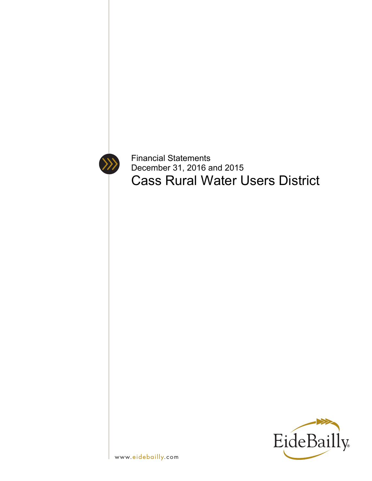

Financial Statements December 31, 2016 and 2015 Cass Rural Water Users District

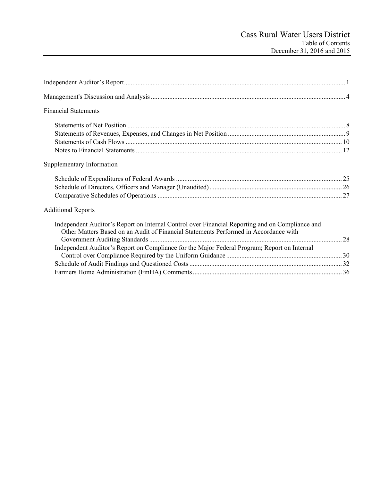| <b>Financial Statements</b>                                                                                                                                                             |  |
|-----------------------------------------------------------------------------------------------------------------------------------------------------------------------------------------|--|
|                                                                                                                                                                                         |  |
|                                                                                                                                                                                         |  |
|                                                                                                                                                                                         |  |
|                                                                                                                                                                                         |  |
| Supplementary Information                                                                                                                                                               |  |
|                                                                                                                                                                                         |  |
|                                                                                                                                                                                         |  |
|                                                                                                                                                                                         |  |
| <b>Additional Reports</b>                                                                                                                                                               |  |
| Independent Auditor's Report on Internal Control over Financial Reporting and on Compliance and<br>Other Matters Based on an Audit of Financial Statements Performed in Accordance with |  |
| Independent Auditor's Report on Compliance for the Major Federal Program; Report on Internal                                                                                            |  |
|                                                                                                                                                                                         |  |
|                                                                                                                                                                                         |  |
|                                                                                                                                                                                         |  |
|                                                                                                                                                                                         |  |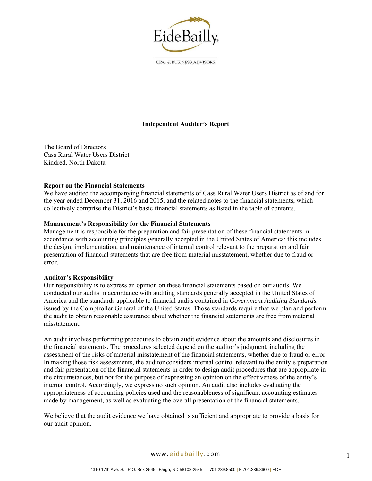

CPAs & BUSINESS ADVISORS

## **Independent Auditor's Report**

The Board of Directors Cass Rural Water Users District Kindred, North Dakota

#### **Report on the Financial Statements**

We have audited the accompanying financial statements of Cass Rural Water Users District as of and for the year ended December 31, 2016 and 2015, and the related notes to the financial statements, which collectively comprise the District's basic financial statements as listed in the table of contents.

#### **Management's Responsibility for the Financial Statements**

Management is responsible for the preparation and fair presentation of these financial statements in accordance with accounting principles generally accepted in the United States of America; this includes the design, implementation, and maintenance of internal control relevant to the preparation and fair presentation of financial statements that are free from material misstatement, whether due to fraud or error.

#### **Auditor's Responsibility**

Our responsibility is to express an opinion on these financial statements based on our audits. We conducted our audits in accordance with auditing standards generally accepted in the United States of America and the standards applicable to financial audits contained in *Government Auditing Standards*, issued by the Comptroller General of the United States. Those standards require that we plan and perform the audit to obtain reasonable assurance about whether the financial statements are free from material misstatement.

An audit involves performing procedures to obtain audit evidence about the amounts and disclosures in the financial statements. The procedures selected depend on the auditor's judgment, including the assessment of the risks of material misstatement of the financial statements, whether due to fraud or error. In making those risk assessments, the auditor considers internal control relevant to the entity's preparation and fair presentation of the financial statements in order to design audit procedures that are appropriate in the circumstances, but not for the purpose of expressing an opinion on the effectiveness of the entity's internal control. Accordingly, we express no such opinion. An audit also includes evaluating the appropriateness of accounting policies used and the reasonableness of significant accounting estimates made by management, as well as evaluating the overall presentation of the financial statements.

We believe that the audit evidence we have obtained is sufficient and appropriate to provide a basis for our audit opinion.

www. eidebailly .com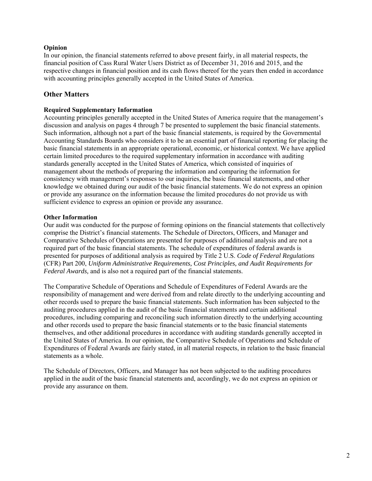#### **Opinion**

In our opinion, the financial statements referred to above present fairly, in all material respects, the financial position of Cass Rural Water Users District as of December 31, 2016 and 2015, and the respective changes in financial position and its cash flows thereof for the years then ended in accordance with accounting principles generally accepted in the United States of America.

# **Other Matters**

#### **Required Supplementary Information**

Accounting principles generally accepted in the United States of America require that the management's discussion and analysis on pages 4 through 7 be presented to supplement the basic financial statements. Such information, although not a part of the basic financial statements, is required by the Governmental Accounting Standards Boards who considers it to be an essential part of financial reporting for placing the basic financial statements in an appropriate operational, economic, or historical context. We have applied certain limited procedures to the required supplementary information in accordance with auditing standards generally accepted in the United States of America, which consisted of inquiries of management about the methods of preparing the information and comparing the information for consistency with management's responses to our inquiries, the basic financial statements, and other knowledge we obtained during our audit of the basic financial statements. We do not express an opinion or provide any assurance on the information because the limited procedures do not provide us with sufficient evidence to express an opinion or provide any assurance.

## **Other Information**

Our audit was conducted for the purpose of forming opinions on the financial statements that collectively comprise the District's financial statements. The Schedule of Directors, Officers, and Manager and Comparative Schedules of Operations are presented for purposes of additional analysis and are not a required part of the basic financial statements. The schedule of expenditures of federal awards is presented for purposes of additional analysis as required by Title 2 U.S. *Code of Federal Regulations* (CFR) Part 200, *Uniform Administrative Requirements, Cost Principles, and Audit Requirements for Federal Awards,* and is also not a required part of the financial statements.

The Comparative Schedule of Operations and Schedule of Expenditures of Federal Awards are the responsibility of management and were derived from and relate directly to the underlying accounting and other records used to prepare the basic financial statements. Such information has been subjected to the auditing procedures applied in the audit of the basic financial statements and certain additional procedures, including comparing and reconciling such information directly to the underlying accounting and other records used to prepare the basic financial statements or to the basic financial statements themselves, and other additional procedures in accordance with auditing standards generally accepted in the United States of America. In our opinion, the Comparative Schedule of Operations and Schedule of Expenditures of Federal Awards are fairly stated, in all material respects, in relation to the basic financial statements as a whole.

The Schedule of Directors, Officers, and Manager has not been subjected to the auditing procedures applied in the audit of the basic financial statements and, accordingly, we do not express an opinion or provide any assurance on them.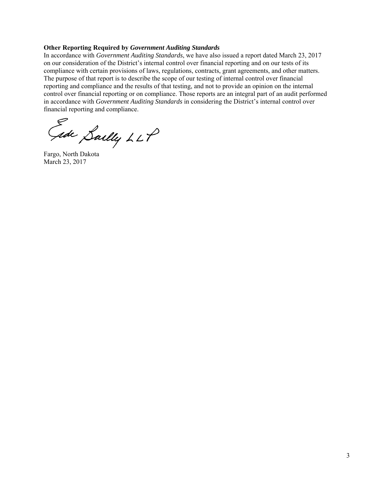#### **Other Reporting Required by** *Government Auditing Standards*

In accordance with *Government Auditing Standards*, we have also issued a report dated March 23, 2017 on our consideration of the District's internal control over financial reporting and on our tests of its compliance with certain provisions of laws, regulations, contracts, grant agreements, and other matters. The purpose of that report is to describe the scope of our testing of internal control over financial reporting and compliance and the results of that testing, and not to provide an opinion on the internal control over financial reporting or on compliance. Those reports are an integral part of an audit performed in accordance with *Government Auditing Standards* in considering the District's internal control over financial reporting and compliance.

Facto Sailly LLP

March 23, 2017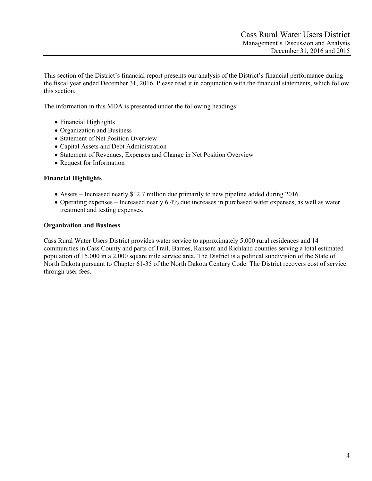This section of the District's financial report presents our analysis of the District's financial performance during the fiscal year ended December 31, 2016. Please read it in conjunction with the financial statements, which follow this section.

The information in this MDA is presented under the following headings:

- Financial Highlights
- Organization and Business
- Statement of Net Position Overview
- Capital Assets and Debt Administration
- Statement of Revenues, Expenses and Change in Net Position Overview
- Request for Information

#### **Financial Highlights**

- Assets Increased nearly \$12.7 million due primarily to new pipeline added during 2016.
- Operating expenses Increased nearly 6.4% due increases in purchased water expenses, as well as water treatment and testing expenses.

#### **Organization and Business**

Cass Rural Water Users District provides water service to approximately 5,000 rural residences and 14 communities in Cass County and parts of Trail, Barnes, Ransom and Richland counties serving a total estimated population of 15,000 in a 2,000 square mile service area. The District is a political subdivision of the State of North Dakota pursuant to Chapter 61-35 of the North Dakota Century Code. The District recovers cost of service through user fees.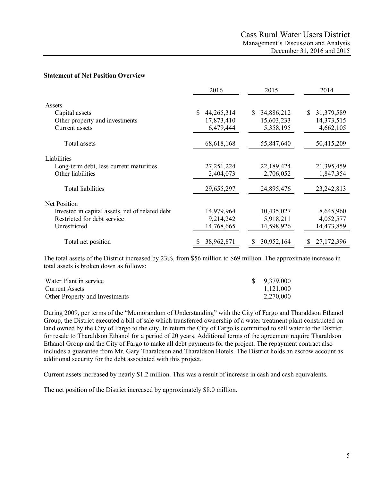#### **Statement of Net Position Overview**

|                                                 | 2016              | 2015             | 2014              |
|-------------------------------------------------|-------------------|------------------|-------------------|
| Assets                                          |                   |                  |                   |
| Capital assets                                  | S<br>44, 265, 314 | 34,886,212<br>\$ | 31,379,589<br>\$. |
| Other property and investments                  | 17,873,410        | 15,603,233       | 14,373,515        |
| Current assets                                  | 6,479,444         | 5,358,195        | 4,662,105         |
| Total assets                                    | 68,618,168        | 55,847,640       | 50,415,209        |
| Liabilities                                     |                   |                  |                   |
| Long-term debt, less current maturities         | 27, 251, 224      | 22,189,424       | 21,395,459        |
| Other liabilities                               | 2,404,073         | 2,706,052        | 1,847,354         |
| <b>Total liabilities</b>                        | 29,655,297        | 24,895,476       | 23, 242, 813      |
| <b>Net Position</b>                             |                   |                  |                   |
| Invested in capital assets, net of related debt | 14,979,964        | 10,435,027       | 8,645,960         |
| Restricted for debt service                     | 9,214,242         | 5,918,211        | 4,052,577         |
| Unrestricted                                    | 14,768,665        | 14,598,926       | 14,473,859        |
| Total net position                              | 38,962,871        | 30,952,164<br>S  | 27,172,396        |

The total assets of the District increased by 23%, from \$56 million to \$69 million. The approximate increase in total assets is broken down as follows:

| Water Plant in service         | $\$\,9,379,000$ |
|--------------------------------|-----------------|
| Current Assets                 | 1,121,000       |
| Other Property and Investments | 2,270,000       |

During 2009, per terms of the "Memorandum of Understanding" with the City of Fargo and Tharaldson Ethanol Group, the District executed a bill of sale which transferred ownership of a water treatment plant constructed on land owned by the City of Fargo to the city. In return the City of Fargo is committed to sell water to the District for resale to Tharaldson Ethanol for a period of 20 years. Additional terms of the agreement require Tharaldson Ethanol Group and the City of Fargo to make all debt payments for the project. The repayment contract also includes a guarantee from Mr. Gary Tharaldson and Tharaldson Hotels. The District holds an escrow account as additional security for the debt associated with this project.

Current assets increased by nearly \$1.2 million. This was a result of increase in cash and cash equivalents.

The net position of the District increased by approximately \$8.0 million.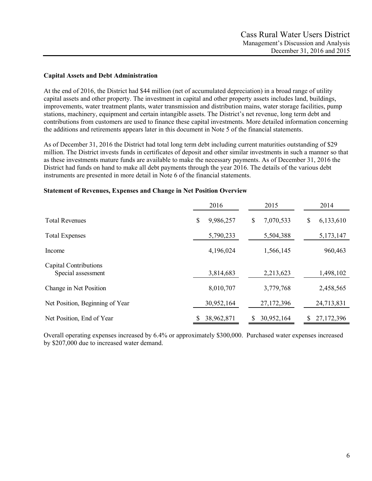#### **Capital Assets and Debt Administration**

At the end of 2016, the District had \$44 million (net of accumulated depreciation) in a broad range of utility capital assets and other property. The investment in capital and other property assets includes land, buildings, improvements, water treatment plants, water transmission and distribution mains, water storage facilities, pump stations, machinery, equipment and certain intangible assets. The District's net revenue, long term debt and contributions from customers are used to finance these capital investments. More detailed information concerning the additions and retirements appears later in this document in Note 5 of the financial statements.

As of December 31, 2016 the District had total long term debt including current maturities outstanding of \$29 million. The District invests funds in certificates of deposit and other similar investments in such a manner so that as these investments mature funds are available to make the necessary payments. As of December 31, 2016 the District had funds on hand to make all debt payments through the year 2016. The details of the various debt instruments are presented in more detail in Note 6 of the financial statements.

|                                             | 2016            | 2015            | 2014            |
|---------------------------------------------|-----------------|-----------------|-----------------|
| <b>Total Revenues</b>                       | \$<br>9,986,257 | 7,070,533<br>\$ | 6,133,610<br>\$ |
| <b>Total Expenses</b>                       | 5,790,233       | 5,504,388       | 5,173,147       |
| Income                                      | 4,196,024       | 1,566,145       | 960,463         |
| Capital Contributions<br>Special assessment | 3,814,683       | 2,213,623       | 1,498,102       |
| Change in Net Position                      | 8,010,707       | 3,779,768       | 2,458,565       |
| Net Position, Beginning of Year             | 30,952,164      | 27,172,396      | 24,713,831      |
| Net Position, End of Year                   | 38,962,871      | 30,952,164<br>S | 27,172,396      |

#### **Statement of Revenues, Expenses and Change in Net Position Overview**

Overall operating expenses increased by 6.4% or approximately \$300,000. Purchased water expenses increased by \$207,000 due to increased water demand.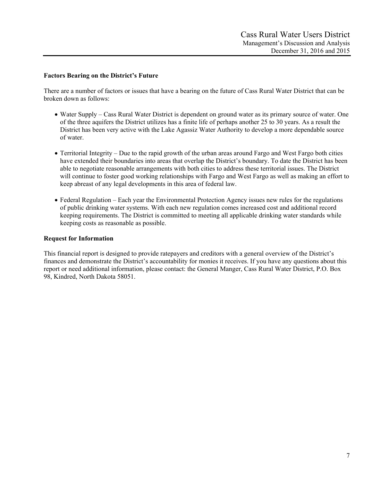#### **Factors Bearing on the District's Future**

There are a number of factors or issues that have a bearing on the future of Cass Rural Water District that can be broken down as follows:

- Water Supply Cass Rural Water District is dependent on ground water as its primary source of water. One of the three aquifers the District utilizes has a finite life of perhaps another 25 to 30 years. As a result the District has been very active with the Lake Agassiz Water Authority to develop a more dependable source of water.
- Territorial Integrity Due to the rapid growth of the urban areas around Fargo and West Fargo both cities have extended their boundaries into areas that overlap the District's boundary. To date the District has been able to negotiate reasonable arrangements with both cities to address these territorial issues. The District will continue to foster good working relationships with Fargo and West Fargo as well as making an effort to keep abreast of any legal developments in this area of federal law.
- Federal Regulation Each year the Environmental Protection Agency issues new rules for the regulations of public drinking water systems. With each new regulation comes increased cost and additional record keeping requirements. The District is committed to meeting all applicable drinking water standards while keeping costs as reasonable as possible.

#### **Request for Information**

This financial report is designed to provide ratepayers and creditors with a general overview of the District's finances and demonstrate the District's accountability for monies it receives. If you have any questions about this report or need additional information, please contact: the General Manger, Cass Rural Water District, P.O. Box 98, Kindred, North Dakota 58051.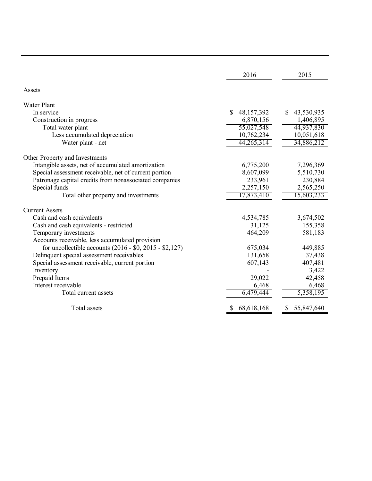|                                                         | 2016                | 2015                        |
|---------------------------------------------------------|---------------------|-----------------------------|
| Assets                                                  |                     |                             |
| <b>Water Plant</b>                                      |                     |                             |
| In service                                              | 48, 157, 392<br>\$. | 43,530,935<br><sup>\$</sup> |
| Construction in progress                                | 6,870,156           | 1,406,895                   |
| Total water plant                                       | 55,027,548          | 44,937,830                  |
| Less accumulated depreciation                           | 10,762,234          | 10,051,618                  |
| Water plant - net                                       | 44,265,314          | 34,886,212                  |
| Other Property and Investments                          |                     |                             |
| Intangible assets, net of accumulated amortization      | 6,775,200           | 7,296,369                   |
| Special assessment receivable, net of current portion   | 8,607,099           | 5,510,730                   |
| Patronage capital credits from nonassociated companies  | 233,961             | 230,884                     |
| Special funds                                           | 2,257,150           | 2,565,250                   |
| Total other property and investments                    | 17,873,410          | 15,603,233                  |
| <b>Current Assets</b>                                   |                     |                             |
| Cash and cash equivalents                               | 4,534,785           | 3,674,502                   |
| Cash and cash equivalents - restricted                  | 31,125              | 155,358                     |
| Temporary investments                                   | 464,209             | 581,183                     |
| Accounts receivable, less accumulated provision         |                     |                             |
| for uncollectible accounts $(2016 - $0, 2015 - $2,127)$ | 675,034             | 449,885                     |
| Delinquent special assessment receivables               | 131,658             | 37,438                      |
| Special assessment receivable, current portion          | 607,143             | 407,481                     |
| Inventory                                               |                     | 3,422                       |
| Prepaid Items                                           | 29,022              | 42,458                      |
| Interest receivable                                     | 6,468               | 6,468                       |
| Total current assets                                    | 6,479,444           | 5,358,195                   |
| Total assets                                            | 68,618,168          | 55,847,640                  |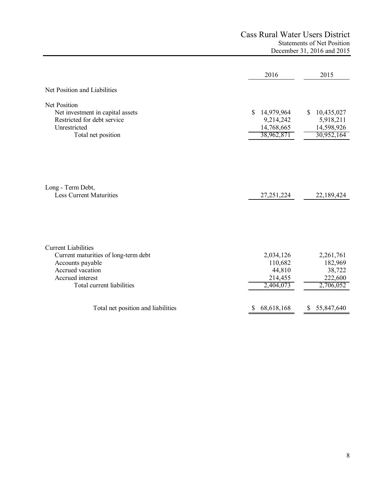|                                                                                                                                                             | 2016                                                                | 2015                                                                |
|-------------------------------------------------------------------------------------------------------------------------------------------------------------|---------------------------------------------------------------------|---------------------------------------------------------------------|
| Net Position and Liabilities                                                                                                                                |                                                                     |                                                                     |
| Net Position<br>Net investment in capital assets<br>Restricted for debt service<br>Unrestricted<br>Total net position                                       | 14,979,964<br>$\mathbb{S}$<br>9,214,242<br>14,768,665<br>38,962,871 | 10,435,027<br>$\mathbb{S}$<br>5,918,211<br>14,598,926<br>30,952,164 |
| Long - Term Debt,<br><b>Less Current Maturities</b>                                                                                                         | 27, 251, 224                                                        | 22,189,424                                                          |
| <b>Current Liabilities</b><br>Current maturities of long-term debt<br>Accounts payable<br>Accrued vacation<br>Accrued interest<br>Total current liabilities | 2,034,126<br>110,682<br>44,810<br>214,455<br>2,404,073              | 2,261,761<br>182,969<br>38,722<br>222,600<br>2,706,052              |
| Total net position and liabilities                                                                                                                          | 68,618,168                                                          | 55,847,640<br>S                                                     |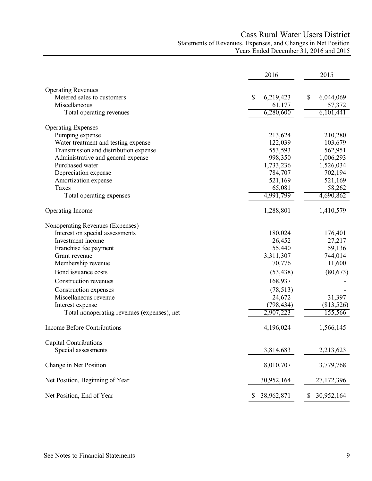# Cass Rural Water Users District Statements of Revenues, Expenses, and Changes in Net Position Years Ended December 31, 2016 and 2015

|                                             | 2016           | 2015             |
|---------------------------------------------|----------------|------------------|
| <b>Operating Revenues</b>                   |                |                  |
| Metered sales to customers                  | 6,219,423<br>S | \$<br>6,044,069  |
| Miscellaneous                               | 61,177         | 57,372           |
| Total operating revenues                    | 6,280,600      | 6,101,441        |
| <b>Operating Expenses</b>                   |                |                  |
| Pumping expense                             | 213,624        | 210,280          |
| Water treatment and testing expense         | 122,039        | 103,679          |
| Transmission and distribution expense       | 553,593        | 562,951          |
| Administrative and general expense          | 998,350        | 1,006,293        |
| Purchased water                             | 1,733,236      | 1,526,034        |
| Depreciation expense                        | 784,707        | 702,194          |
| Amortization expense                        | 521,169        | 521,169          |
| Taxes                                       | 65,081         | 58,262           |
| Total operating expenses                    | 4,991,799      | 4,690,862        |
| Operating Income                            | 1,288,801      | 1,410,579        |
| Nonoperating Revenues (Expenses)            |                |                  |
| Interest on special assessments             | 180,024        | 176,401          |
| Investment income                           | 26,452         | 27,217           |
| Franchise fee payment                       | 55,440         | 59,136           |
| Grant revenue                               | 3,311,307      | 744,014          |
| Membership revenue                          | 70,776         | 11,600           |
| Bond issuance costs                         | (53, 438)      | (80, 673)        |
| Construction revenues                       | 168,937        |                  |
| Construction expenses                       | (78, 513)      |                  |
| Miscellaneous revenue                       | 24,672         | 31,397           |
| Interest expense                            | (798, 434)     | (813, 526)       |
| Total nonoperating revenues (expenses), net | 2,907,223      | 155,566          |
| Income Before Contributions                 | 4,196,024      | 1,566,145        |
| <b>Capital Contributions</b>                |                |                  |
| Special assessments                         | 3,814,683      | 2,213,623        |
| Change in Net Position                      | 8,010,707      | 3,779,768        |
| Net Position, Beginning of Year             | 30,952,164     | 27,172,396       |
| Net Position, End of Year                   | 38,962,871     | 30,952,164<br>\$ |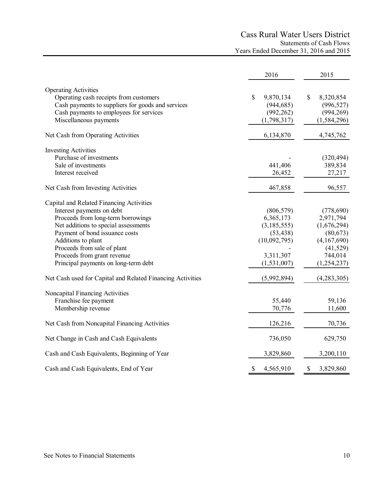# Cass Rural Water Users District Statements of Cash Flows Years Ended December 31, 2016 and 2015

|                                                            | 2016                      | 2015                      |
|------------------------------------------------------------|---------------------------|---------------------------|
| <b>Operating Activities</b>                                |                           |                           |
| Operating cash receipts from customers                     | $\mathbb{S}$<br>9,870,134 | $\mathbb{S}$<br>8,320,854 |
| Cash payments to suppliers for goods and services          | (944, 685)                | (996, 527)                |
| Cash payments to employees for services                    | (992, 262)                | (994, 269)                |
| Miscellaneous payments                                     | (1,798,317)               | (1, 584, 296)             |
| Net Cash from Operating Activities                         | 6,134,870                 | 4,745,762                 |
| <b>Investing Activities</b>                                |                           |                           |
| Purchase of investments                                    |                           | (320, 494)                |
| Sale of investments                                        | 441,406                   | 389,834                   |
| Interest received                                          | 26,452                    | 27,217                    |
| Net Cash from Investing Activities                         | 467,858                   | 96,557                    |
| Capital and Related Financing Activities                   |                           |                           |
| Interest payments on debt                                  | (806, 579)                | (778, 690)                |
| Proceeds from long-term borrowings                         | 6,365,173                 | 2,971,794                 |
| Net additions to special assessments                       | (3, 185, 555)             | (1,676,294)               |
| Payment of bond issuance costs                             | (53, 438)                 | (80, 673)                 |
| Additions to plant                                         | (10,092,795)              | (4,167,690)               |
| Proceeds from sale of plant                                |                           | (41,529)                  |
| Proceeds from grant revenue                                | 3,311,307                 | 744,014                   |
| Principal payments on long-term debt                       | (1, 531, 007)             | (1,254,237)               |
| Net Cash used for Capital and Related Financing Activities | (5,992,894)               | (4,283,305)               |
| Noncapital Financing Activities                            |                           |                           |
| Franchise fee payment                                      | 55,440                    | 59,136                    |
| Membership revenue                                         | 70,776                    | 11,600                    |
| Net Cash from Noncapital Financing Activities              | 126,216                   | 70,736                    |
| Net Change in Cash and Cash Equivalents                    | 736,050                   | 629,750                   |
| Cash and Cash Equivalents, Beginning of Year               | 3,829,860                 | 3,200,110                 |
| Cash and Cash Equivalents, End of Year                     | \$<br>4,565,910           | \$<br>3,829,860           |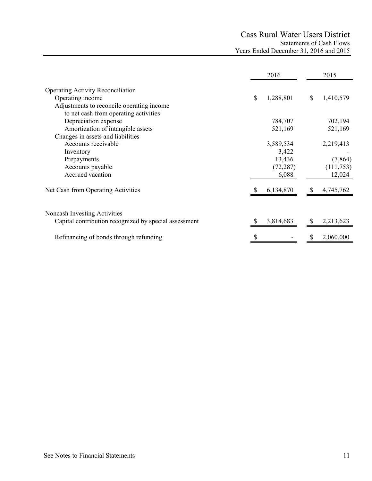# Cass Rural Water Users District Statements of Cash Flows Years Ended December 31, 2016 and 2015

|                                                       | 2016            |    | 2015      |
|-------------------------------------------------------|-----------------|----|-----------|
| <b>Operating Activity Reconciliation</b>              |                 |    |           |
| Operating income                                      | \$<br>1,288,801 | \$ | 1,410,579 |
| Adjustments to reconcile operating income             |                 |    |           |
| to net cash from operating activities                 |                 |    |           |
| Depreciation expense                                  | 784,707         |    | 702,194   |
| Amortization of intangible assets                     | 521,169         |    | 521,169   |
| Changes in assets and liabilities                     |                 |    |           |
| Accounts receivable                                   | 3,589,534       |    | 2,219,413 |
| Inventory                                             | 3,422           |    |           |
| Prepayments                                           | 13,436          |    | (7,864)   |
| Accounts payable                                      | (72, 287)       |    | (111,753) |
| Accrued vacation                                      | 6,088           |    | 12,024    |
| Net Cash from Operating Activities                    | 6,134,870       | S  | 4,745,762 |
| Noncash Investing Activities                          |                 |    |           |
| Capital contribution recognized by special assessment | 3,814,683       | S. | 2,213,623 |
| Refinancing of bonds through refunding                | \$              | \$ | 2,060,000 |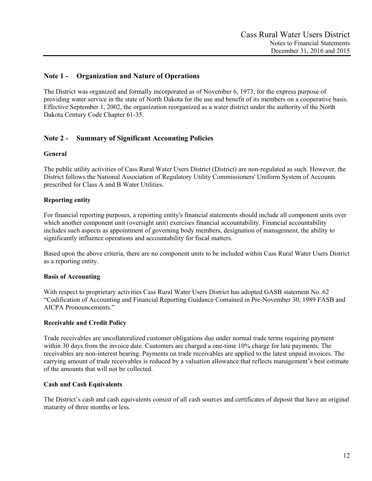## **Note 1 - Organization and Nature of Operations**

The District was organized and formally incorporated as of November 6, 1973, for the express purpose of providing water service in the state of North Dakota for the use and benefit of its members on a cooperative basis. Effective September 1, 2002, the organization reorganized as a water district under the authority of the North Dakota Century Code Chapter 61-35.

## **Note 2 - Summary of Significant Accounting Policies**

#### **General**

The public utility activities of Cass Rural Water Users District (District) are non-regulated as such. However, the District follows the National Association of Regulatory Utility Commissioners' Uniform System of Accounts prescribed for Class A and B Water Utilities.

#### **Reporting entity**

For financial reporting purposes, a reporting entity's financial statements should include all component units over which another component unit (oversight unit) exercises financial accountability. Financial accountability includes such aspects as appointment of governing body members, designation of management, the ability to significantly influence operations and accountability for fiscal matters.

Based upon the above criteria, there are no component units to be included within Cass Rural Water Users District as a reporting entity.

#### **Basis of Accounting**

With respect to proprietary activities Cass Rural Water Users District has adopted GASB statement No. 62 "Codification of Accounting and Financial Reporting Guidance Contained in Pre-November 30, 1989 FASB and AICPA Pronouncements."

#### **Receivable and Credit Policy**

Trade receivables are uncollateralized customer obligations due under normal trade terms requiring payment within 30 days from the invoice date. Customers are charged a one-time 10% charge for late payments. The receivables are non-interest bearing. Payments on trade receivables are applied to the latest unpaid invoices. The carrying amount of trade receivables is reduced by a valuation allowance that reflects management's best estimate of the amounts that will not be collected.

#### **Cash and Cash Equivalents**

The District's cash and cash equivalents consist of all cash sources and certificates of deposit that have an original maturity of three months or less.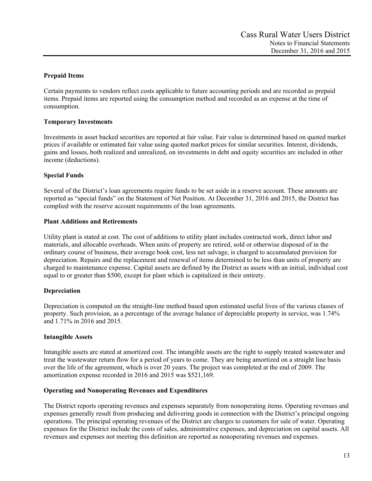#### **Prepaid Items**

Certain payments to vendors reflect costs applicable to future accounting periods and are recorded as prepaid items. Prepaid items are reported using the consumption method and recorded as an expense at the time of consumption.

#### **Temporary Investments**

Investments in asset backed securities are reported at fair value. Fair value is determined based on quoted market prices if available or estimated fair value using quoted market prices for similar securities. Interest, dividends, gains and losses, both realized and unrealized, on investments in debt and equity securities are included in other income (deductions).

## **Special Funds**

Several of the District's loan agreements require funds to be set aside in a reserve account. These amounts are reported as "special funds" on the Statement of Net Position. At December 31, 2016 and 2015, the District has complied with the reserve account requirements of the loan agreements.

#### **Plant Additions and Retirements**

Utility plant is stated at cost. The cost of additions to utility plant includes contracted work, direct labor and materials, and allocable overheads. When units of property are retired, sold or otherwise disposed of in the ordinary course of business, their average book cost, less net salvage, is charged to accumulated provision for depreciation. Repairs and the replacement and renewal of items determined to be less than units of property are charged to maintenance expense. Capital assets are defined by the District as assets with an initial, individual cost equal to or greater than \$500, except for plant which is capitalized in their entirety.

#### **Depreciation**

Depreciation is computed on the straight-line method based upon estimated useful lives of the various classes of property. Such provision, as a percentage of the average balance of depreciable property in service, was 1.74% and 1.71% in 2016 and 2015.

#### **Intangible Assets**

Intangible assets are stated at amortized cost. The intangible assets are the right to supply treated wastewater and treat the wastewater return flow for a period of years to come. They are being amortized on a straight line basis over the life of the agreement, which is over 20 years. The project was completed at the end of 2009. The amortization expense recorded in 2016 and 2015 was \$521,169.

#### **Operating and Nonoperating Revenues and Expenditures**

The District reports operating revenues and expenses separately from nonoperating items. Operating revenues and expenses generally result from producing and delivering goods in connection with the District's principal ongoing operations. The principal operating revenues of the District are charges to customers for sale of water. Operating expenses for the District include the costs of sales, administrative expenses, and depreciation on capital assets. All revenues and expenses not meeting this definition are reported as nonoperating revenues and expenses.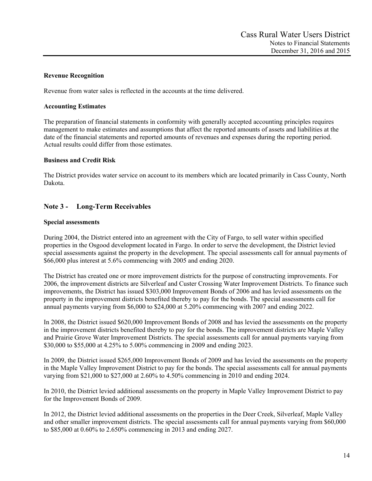## **Revenue Recognition**

Revenue from water sales is reflected in the accounts at the time delivered.

#### **Accounting Estimates**

The preparation of financial statements in conformity with generally accepted accounting principles requires management to make estimates and assumptions that affect the reported amounts of assets and liabilities at the date of the financial statements and reported amounts of revenues and expenses during the reporting period. Actual results could differ from those estimates.

## **Business and Credit Risk**

The District provides water service on account to its members which are located primarily in Cass County, North Dakota.

# **Note 3 - Long-Term Receivables**

## **Special assessments**

During 2004, the District entered into an agreement with the City of Fargo, to sell water within specified properties in the Osgood development located in Fargo. In order to serve the development, the District levied special assessments against the property in the development. The special assessments call for annual payments of \$66,000 plus interest at 5.6% commencing with 2005 and ending 2020.

The District has created one or more improvement districts for the purpose of constructing improvements. For 2006, the improvement districts are Silverleaf and Custer Crossing Water Improvement Districts. To finance such improvements, the District has issued \$303,000 Improvement Bonds of 2006 and has levied assessments on the property in the improvement districts benefited thereby to pay for the bonds. The special assessments call for annual payments varying from \$6,000 to \$24,000 at 5.20% commencing with 2007 and ending 2022.

In 2008, the District issued \$620,000 Improvement Bonds of 2008 and has levied the assessments on the property in the improvement districts benefited thereby to pay for the bonds. The improvement districts are Maple Valley and Prairie Grove Water Improvement Districts. The special assessments call for annual payments varying from \$30,000 to \$55,000 at 4.25% to 5.00% commencing in 2009 and ending 2023.

In 2009, the District issued \$265,000 Improvement Bonds of 2009 and has levied the assessments on the property in the Maple Valley Improvement District to pay for the bonds. The special assessments call for annual payments varying from \$21,000 to \$27,000 at 2.60% to 4.50% commencing in 2010 and ending 2024.

In 2010, the District levied additional assessments on the property in Maple Valley Improvement District to pay for the Improvement Bonds of 2009.

In 2012, the District levied additional assessments on the properties in the Deer Creek, Silverleaf, Maple Valley and other smaller improvement districts. The special assessments call for annual payments varying from \$60,000 to \$85,000 at 0.60% to 2.650% commencing in 2013 and ending 2027.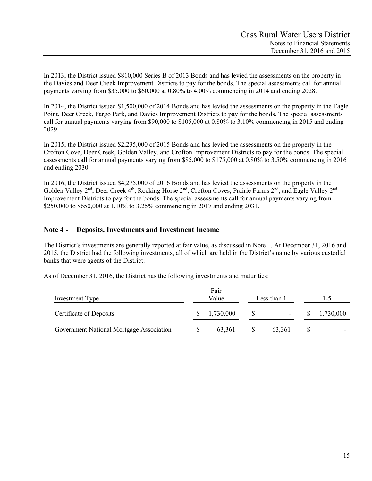In 2013, the District issued \$810,000 Series B of 2013 Bonds and has levied the assessments on the property in the Davies and Deer Creek Improvement Districts to pay for the bonds. The special assessments call for annual payments varying from \$35,000 to \$60,000 at 0.80% to 4.00% commencing in 2014 and ending 2028.

In 2014, the District issued \$1,500,000 of 2014 Bonds and has levied the assessments on the property in the Eagle Point, Deer Creek, Fargo Park, and Davies Improvement Districts to pay for the bonds. The special assessments call for annual payments varying from \$90,000 to \$105,000 at 0.80% to 3.10% commencing in 2015 and ending 2029.

In 2015, the District issued \$2,235,000 of 2015 Bonds and has levied the assessments on the property in the Crofton Cove, Deer Creek, Golden Valley, and Crofton Improvement Districts to pay for the bonds. The special assessments call for annual payments varying from \$85,000 to \$175,000 at 0.80% to 3.50% commencing in 2016 and ending 2030.

In 2016, the District issued \$4,275,000 of 2016 Bonds and has levied the assessments on the property in the Golden Valley 2<sup>nd</sup>, Deer Creek 4<sup>th</sup>, Rocking Horse 2<sup>nd</sup>, Crofton Coves, Prairie Farms 2<sup>nd</sup>, and Eagle Valley 2<sup>nd</sup> Improvement Districts to pay for the bonds. The special assessments call for annual payments varying from \$250,000 to \$650,000 at 1.10% to 3.25% commencing in 2017 and ending 2031.

# **Note 4 - Deposits, Investments and Investment Income**

The District's investments are generally reported at fair value, as discussed in Note 1. At December 31, 2016 and 2015, the District had the following investments, all of which are held in the District's name by various custodial banks that were agents of the District:

As of December 31, 2016, the District has the following investments and maturities:

| Investment Type                          |  | Fair<br>Value<br>Less than 1 |  | I -5   |           |
|------------------------------------------|--|------------------------------|--|--------|-----------|
| Certificate of Deposits                  |  | 1,730,000                    |  | -      | 1,730,000 |
| Government National Mortgage Association |  | 63,361                       |  | 63,361 | -         |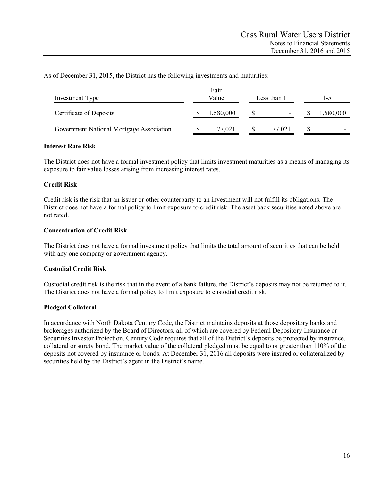As of December 31, 2015, the District has the following investments and maturities:

| Investment Type                          | Fair<br>Value | Less than 1              | $-5$      |
|------------------------------------------|---------------|--------------------------|-----------|
| Certificate of Deposits                  | 1,580,000     | $\overline{\phantom{0}}$ | 1,580,000 |
| Government National Mortgage Association | 77,021        | 77.021                   | -         |

#### **Interest Rate Risk**

The District does not have a formal investment policy that limits investment maturities as a means of managing its exposure to fair value losses arising from increasing interest rates.

#### **Credit Risk**

Credit risk is the risk that an issuer or other counterparty to an investment will not fulfill its obligations. The District does not have a formal policy to limit exposure to credit risk. The asset back securities noted above are not rated.

#### **Concentration of Credit Risk**

The District does not have a formal investment policy that limits the total amount of securities that can be held with any one company or government agency.

#### **Custodial Credit Risk**

Custodial credit risk is the risk that in the event of a bank failure, the District's deposits may not be returned to it. The District does not have a formal policy to limit exposure to custodial credit risk.

#### **Pledged Collateral**

In accordance with North Dakota Century Code, the District maintains deposits at those depository banks and brokerages authorized by the Board of Directors, all of which are covered by Federal Depository Insurance or Securities Investor Protection. Century Code requires that all of the District's deposits be protected by insurance, collateral or surety bond. The market value of the collateral pledged must be equal to or greater than 110% of the deposits not covered by insurance or bonds. At December 31, 2016 all deposits were insured or collateralized by securities held by the District's agent in the District's name.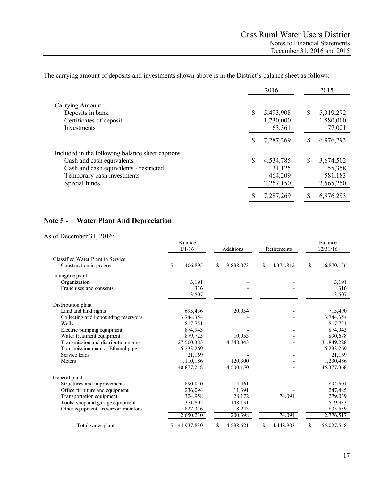The carrying amount of deposits and investments shown above is in the District's balance sheet as follows:

|                                                  | 2016            | 2015            |
|--------------------------------------------------|-----------------|-----------------|
| Carrying Amount                                  |                 |                 |
| Deposits in bank                                 | \$<br>5,493,908 | \$<br>5,319,272 |
| Certificates of deposit                          | 1,730,000       | 1,580,000       |
| Investments                                      | 63,361          | 77,021          |
|                                                  | 7,287,269       | S<br>6,976,293  |
| Included in the following balance sheet captions |                 |                 |
| Cash and cash equivalents                        | \$<br>4,534,785 | \$<br>3,674,502 |
| Cash and cash equivalents - restricted           | 31,125          | 155,358         |
| Temporary cash investments                       | 464,209         | 581,183         |
| Special funds                                    | 2,257,150       | 2,565,250       |
|                                                  | 7,287,269       | 6,976,293       |

# **Note 5 - Water Plant And Depreciation**

As of December 31, 2016:

|                                                               | Balance<br>1/1/16 | Additions       | Retirements     | Balance<br>12/31/16 |
|---------------------------------------------------------------|-------------------|-----------------|-----------------|---------------------|
| Classified Water Plant in Service<br>Construction in progress | 1,406,895         | \$<br>9,838,073 | 4,374,812<br>\$ | 6,870,156<br>S      |
| Intangible plant                                              |                   |                 |                 |                     |
| Organization                                                  | 3,191             |                 |                 | 3,191               |
| Franchises and consents                                       | 316               |                 |                 | 316                 |
|                                                               | 3,507             |                 |                 | 3,507               |
| Distribution plant                                            |                   |                 |                 |                     |
| Land and land rights                                          | 695,436           | 20,054          |                 | 715,490             |
| Collecting and impounding reservoirs                          | 3,744,354         |                 |                 | 3,744,354           |
| Wells                                                         | 817,751           |                 |                 | 817,751             |
| Electric pumping equipment                                    | 874,943           |                 |                 | 874,943             |
| Water treatment equipment                                     | 879,725           | 10,953          |                 | 890,678             |
| Transmission and distribution mains                           | 27,500,385        | 4,348,843       |                 | 31,849,228          |
| Transmission mains - Ethanol pipe                             | 5,233,269         |                 |                 | 5,233,269           |
| Service leads                                                 | 21,169            |                 |                 | 21,169              |
| Meters                                                        | 1,110,186         | 120,300         |                 | 1,230,486           |
|                                                               | 40,877,218        | 4,500,150       |                 | 45,377,368          |
| General plant                                                 |                   |                 |                 |                     |
| Structures and improvements                                   | 890,040           | 4,461           |                 | 894,501             |
| Office furniture and equipment                                | 236,094           | 11,391          |                 | 247,485             |
| Transportation equipment                                      | 324,958           | 28,172          | 74,091          | 279,039             |
| Tools, shop and garage equipment                              | 371,802           | 148,131         |                 | 519,933             |
| Other equipment - reservoir monitors                          | 827,316           | 8,243           |                 | 835,559             |
|                                                               | 2,650,210         | 200,398         | 74,091          | 2,776,517           |
| Total water plant                                             | 44,937,830        | 14,538,621      | 4,448,903       | 55,027,548<br>\$    |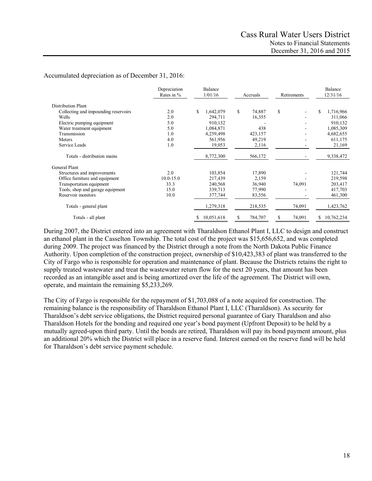#### Accumulated depreciation as of December 31, 2016:

|                                      | Depreciation<br>Balance<br>1/01/16<br>Rates in %<br>Accruals |                 |              | Retirements  | Balance<br>12/31/16 |  |
|--------------------------------------|--------------------------------------------------------------|-----------------|--------------|--------------|---------------------|--|
| Distribution Plant                   |                                                              |                 |              |              |                     |  |
| Collecting and impounding reservoirs | 2.0                                                          | \$<br>1,642,079 | \$<br>74,887 | \$           | \$<br>1,716,966     |  |
| Wells                                | 2.0                                                          | 294,711         | 16,355       |              | 311,066             |  |
| Electric pumping equipment           | 5.0                                                          | 910,132         |              |              | 910,132             |  |
| Water treatment equipment            | 5.0                                                          | 1,084,871       | 438          |              | 1,085,309           |  |
| Transmission                         | 1.0                                                          | 4,259,498       | 423,157      |              | 4,682,655           |  |
| Meters                               | 4.0                                                          | 561,956         | 49,219       |              | 611,175             |  |
| Service Leads                        | 1.0                                                          | 19,053          | 2,116        |              | 21,169              |  |
| Totals - distribution mains          |                                                              | 8,772,300       | 566,172      |              | 9,338,472           |  |
| General Plant                        |                                                              |                 |              |              |                     |  |
| Structures and improvements          | 2.0                                                          | 103,854         | 17,890       |              | 121,744             |  |
| Office furniture and equipment       | $10.0 - 15.0$                                                | 217,439         | 2,159        |              | 219,598             |  |
| Transportation equipment             | 33.3                                                         | 240,568         | 36,940       | 74,091       | 203,417             |  |
| Tools, shop and garage equipment     | 15.0                                                         | 339,713         | 77,990       |              | 417,703             |  |
| Reservoir monitors                   | 10.0                                                         | 377,744         | 83,556       |              | 461,300             |  |
| Totals - general plant               |                                                              | 1,279,318       | 218,535      | 74,091       | 1,423,762           |  |
| Totals - all plant                   |                                                              | 10,051,618      | 784,707      | 74,091<br>ъ. | 10,762,234<br>\$    |  |

During 2007, the District entered into an agreement with Tharaldson Ethanol Plant I, LLC to design and construct an ethanol plant in the Casselton Township. The total cost of the project was \$15,656,652, and was completed during 2009. The project was financed by the District through a note from the North Dakota Public Finance Authority. Upon completion of the construction project, ownership of \$10,423,383 of plant was transferred to the City of Fargo who is responsible for operation and maintenance of plant. Because the Districts retains the right to supply treated wastewater and treat the wastewater return flow for the next 20 years, that amount has been recorded as an intangible asset and is being amortized over the life of the agreement. The District will own, operate, and maintain the remaining \$5,233,269.

The City of Fargo is responsible for the repayment of \$1,703,088 of a note acquired for construction. The remaining balance is the responsibility of Tharaldson Ethanol Plant I, LLC (Tharaldson). As security for Tharaldson's debt service obligations, the District required personal guarantee of Gary Tharaldson and also Tharaldson Hotels for the bonding and required one year's bond payment (Upfront Deposit) to be held by a mutually agreed-upon third party. Until the bonds are retired, Tharaldson will pay its bond payment amount, plus an additional 20% which the District will place in a reserve fund. Interest earned on the reserve fund will be held for Tharaldson's debt service payment schedule.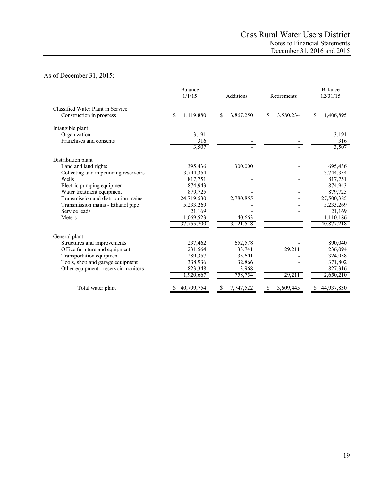# As of December 31, 2015:

|                                      | Balance<br>1/1/15 | <b>Additions</b> | Retirements           | Balance<br>12/31/15 |
|--------------------------------------|-------------------|------------------|-----------------------|---------------------|
| Classified Water Plant in Service    |                   |                  |                       |                     |
| Construction in progress             | 1,119,880         | 3,867,250<br>\$. | 3,580,234<br><b>S</b> | 1,406,895<br>S      |
| Intangible plant                     |                   |                  |                       |                     |
| Organization                         | 3,191             |                  |                       | 3,191               |
| Franchises and consents              | 316               |                  |                       | 316                 |
|                                      | 3,507             |                  |                       | 3,507               |
| Distribution plant                   |                   |                  |                       |                     |
| Land and land rights                 | 395,436           | 300,000          |                       | 695,436             |
| Collecting and impounding reservoirs | 3,744,354         |                  |                       | 3,744,354           |
| Wells                                | 817,751           |                  |                       | 817,751             |
| Electric pumping equipment           | 874,943           |                  |                       | 874,943             |
| Water treatment equipment            | 879,725           |                  |                       | 879,725             |
| Transmission and distribution mains  | 24,719,530        | 2,780,855        |                       | 27,500,385          |
| Transmission mains - Ethanol pipe    | 5,233,269         |                  |                       | 5,233,269           |
| Service leads                        | 21,169            |                  |                       | 21,169              |
| Meters                               | 1,069,523         | 40,663           |                       | 1,110,186           |
|                                      | 37,755,700        | 3,121,518        |                       | 40,877,218          |
| General plant                        |                   |                  |                       |                     |
| Structures and improvements          | 237,462           | 652,578          |                       | 890,040             |
| Office furniture and equipment       | 231,564           | 33,741           | 29,211                | 236,094             |
| Transportation equipment             | 289,357           | 35,601           |                       | 324,958             |
| Tools, shop and garage equipment     | 338,936           | 32,866           |                       | 371,802             |
| Other equipment - reservoir monitors | 823,348           | 3,968            |                       | 827,316             |
|                                      | 1,920,667         | 758,754          | 29,211                | 2,650,210           |
| Total water plant                    | 40,799,754        | 7,747,522        | 3,609,445             | 44,937,830          |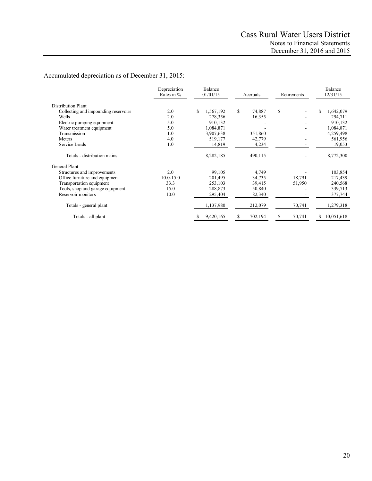# Accumulated depreciation as of December 31, 2015:

|                                      | Depreciation  | Balance        |              |             | Balance          |
|--------------------------------------|---------------|----------------|--------------|-------------|------------------|
|                                      | Rates in %    | 01/01/15       | Accruals     | Retirements | 12/31/15         |
| <b>Distribution Plant</b>            |               |                |              |             |                  |
| Collecting and impounding reservoirs | 2.0           | S<br>1,567,192 | \$<br>74,887 | \$          | S<br>1,642,079   |
| Wells                                | 2.0           | 278,356        | 16,355       |             | 294,711          |
| Electric pumping equipment           | 5.0           | 910,132        |              |             | 910,132          |
| Water treatment equipment            | 5.0           | 1,084,871      |              |             | 1,084,871        |
| Transmission                         | 1.0           | 3,907,638      | 351,860      |             | 4,259,498        |
| Meters                               | 4.0           | 519,177        | 42,779       |             | 561,956          |
| Service Leads                        | 1.0           | 14,819         | 4,234        |             | 19,053           |
| Totals - distribution mains          |               | 8,282,185      | 490,115      |             | 8,772,300        |
| General Plant                        |               |                |              |             |                  |
| Structures and improvements          | 2.0           | 99,105         | 4,749        |             | 103,854          |
| Office furniture and equipment       | $10.0 - 15.0$ | 201,495        | 34,735       | 18,791      | 217,439          |
| Transportation equipment             | 33.3          | 253,103        | 39,415       | 51,950      | 240,568          |
| Tools, shop and garage equipment     | 15.0          | 288,873        | 50,840       |             | 339,713          |
| Reservoir monitors                   | 10.0          | 295,404        | 82,340       |             | 377,744          |
| Totals - general plant               |               | 1,137,980      | 212,079      | 70,741      | 1,279,318        |
| Totals - all plant                   |               | 9,420,165      | 702,194<br>S | 70,741      | 10,051,618<br>\$ |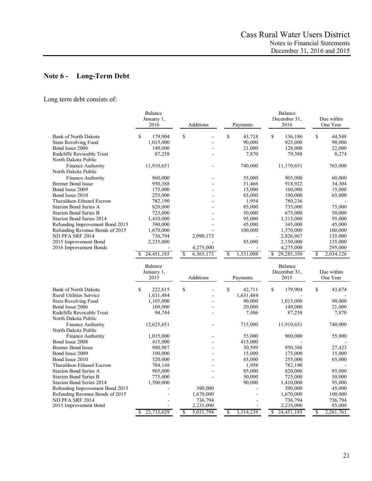# **Note 6 - Long-Term Debt**

Long term debt consists of:

|                                 | Balance<br>January 1,<br>2016 | Additions                |                                       | Balance<br>December 31,<br>2016 | Due within<br>One Year   |
|---------------------------------|-------------------------------|--------------------------|---------------------------------------|---------------------------------|--------------------------|
|                                 |                               |                          | Payments                              |                                 |                          |
| <b>Bank of North Dakota</b>     | \$<br>179,904                 | \$                       | \$<br>43.718                          | \$<br>136,186                   | \$<br>44.548             |
| <b>State Revolving Fund</b>     | 1,015,000                     |                          | 90,000                                | 925,000                         | 90,000                   |
| Bond Issue 2006                 | 149,000                       |                          | 21,000                                | 128,000                         | 22,000                   |
| Radcliffe Revocable Trust       | 87,258                        |                          | 7,870                                 | 79,388                          | 8,274                    |
| North Dakota Public             |                               |                          |                                       |                                 |                          |
| Finance Authority               | 11,910,651                    |                          | 740,000                               | 11,170,651                      | 765,000                  |
| North Dakota Public             |                               |                          |                                       |                                 |                          |
| Finance Authority               | 960,000                       |                          | 55,000                                | 905,000                         | 60,000                   |
| <b>Bremer Bond Issue</b>        | 950,388                       |                          | 31,466                                | 918,922                         | 34,304                   |
| Bond Issue 2009                 | 175,000                       |                          | 15,000                                | 160,000                         | 15,000                   |
| Bond Issue 2010                 | 255,000                       |                          | 65,000                                | 190,000                         | 65,000                   |
| Tharaldson Ethanol Escrow       | 782,190                       |                          | 1,954                                 | 780,236                         |                          |
| <b>Starion Bond Series A</b>    | 820,000                       |                          | 85,000                                | 735,000                         | 75,000                   |
| <b>Starion Bond Series B</b>    | 725,000                       |                          | 50,000                                | 675,000                         | 50,000                   |
| Starion Bond Series 2014        | 1,410,000                     |                          | 95,000                                | 1,315,000                       | 95,000                   |
| Refunding Improvement Bond 2015 | 390,000                       |                          | 45,000                                | 345,000                         | 45,000                   |
| Refunding Revenue Bonds of 2015 | 1,670,000                     |                          | 100,000                               | 1,570,000                       | 100,000                  |
| ND PFA SRF 2014                 | 736,794                       | 2,090,173                |                                       | 2,826,967                       | 135,000                  |
| 2015 Improvement Bond           | 2,235,000                     |                          | 85,000                                | 2,150,000                       | 135,000                  |
| 2016 Improvement Bonds          |                               | 4,275,000                |                                       | 4,275,000                       | 295,000                  |
|                                 | 24,451,185<br>\$.             | $\mathbf S$<br>6,365,173 | $\overline{\mathcal{S}}$<br>1,531,008 | \$<br>29,285,350                | $\mathbf S$<br>2,034,126 |
|                                 |                               |                          |                                       |                                 |                          |
|                                 | Balance                       |                          |                                       | Balance                         |                          |
|                                 | January 1,                    |                          |                                       | December 31,                    | Due within               |
|                                 | 2015                          | Additions                | Payments                              | 2015                            | One Year                 |
| <b>Bank of North Dakota</b>     | \$<br>222,615                 | \$<br>$\overline{a}$     | \$<br>42,711                          | $\mathbf S$<br>179,904          | \$<br>43,674             |
| <b>Rural Utilities Service</b>  | 1,631,484                     | $\overline{a}$           | 1,631,484                             |                                 |                          |
| <b>State Revolving Fund</b>     | 1,105,000                     |                          | 90.000                                | 1,015,000                       | 90,000                   |
| Bond Issue 2006                 | 169,000                       |                          | 20,000                                | 149,000                         | 21,000                   |
| Radcliffe Revocable Trust       | 94,744                        |                          | 7,486                                 | 87,258                          | 7,870                    |
| North Dakota Public             |                               |                          |                                       |                                 |                          |
| Finance Authority               | 12,625,651                    |                          | 715,000                               | 11,910,651                      | 740,000                  |
| North Dakota Public             |                               |                          |                                       |                                 |                          |
| Finance Authority               | 1,015,000                     |                          | 55,000                                | 960,000                         | 55,000                   |
| Bond Issue 2008                 | 415,000                       |                          | 415,000                               |                                 |                          |
| <b>Bremer Bond Issue</b>        | 980,987                       |                          | 30,599                                | 950,388                         | 27,423                   |
| Bond Issue 2009                 | 190,000                       |                          | 15,000                                | 175,000                         | 15,000                   |
| Bond Issue 2010                 | 320,000                       |                          | 65,000                                | 255,000                         | 65,000                   |
| Tharaldson Ethanol Escrow       | 784,148                       |                          | 1,958                                 | 782,190                         |                          |
| <b>Starion Bond Series A</b>    | 905,000                       |                          | 85,000                                | 820,000                         | 85,000                   |
| <b>Starion Bond Series B</b>    | 775,000                       |                          | 50,000                                | 725,000                         | 50,000                   |
| Starion Bond Series 2014        | 1,500,000                     |                          | 90,000                                | 1,410,000                       | 95,000                   |
| Refunding Improvement Bond 2015 |                               | 390,000                  |                                       | 390,000                         | 45,000                   |
| Refunding Revenue Bonds of 2015 |                               | 1,670,000                |                                       | 1,670,000                       | 100,000                  |
| ND PFA SRF 2014                 |                               | 736,794                  |                                       | 736,794                         | 736,794                  |
| 2015 Improvement Bond           |                               | 2,235,000                |                                       | 2,235,000                       | 85,000                   |
|                                 | 22,733,629<br>-S              | 5,031,794<br>\$          | \$<br>3,314,238                       | 24,451,185<br>S                 | 2,261,761<br>\$          |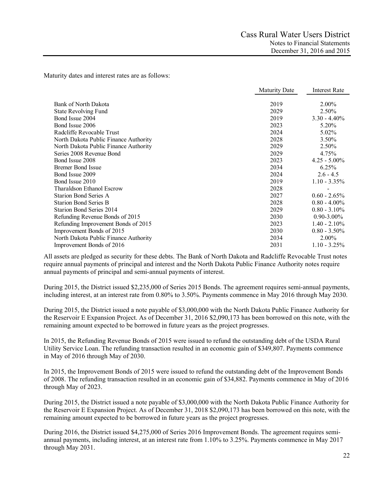Maturity dates and interest rates are as follows:

|                                       | <b>Maturity Date</b> | Interest Rate   |
|---------------------------------------|----------------------|-----------------|
|                                       |                      |                 |
| Bank of North Dakota                  | 2019                 | 2.00%           |
| <b>State Revolving Fund</b>           | 2029                 | 2.50%           |
| Bond Issue 2004                       | 2019                 | $3.30 - 4.40\%$ |
| Bond Issue 2006                       | 2023                 | 5.20%           |
| Radcliffe Revocable Trust             | 2024                 | 5.02%           |
| North Dakota Public Finance Authority | 2028                 | 3.50%           |
| North Dakota Public Finance Authority | 2029                 | 2.50%           |
| Series 2008 Revenue Bond              | 2029                 | 4.75%           |
| Bond Issue 2008                       | 2023                 | $4.25 - 5.00\%$ |
| <b>Bremer Bond Issue</b>              | 2034                 | 6.25%           |
| Bond Issue 2009                       | 2024                 | $2.6 - 4.5$     |
| Bond Issue 2010                       | 2019                 | $1.10 - 3.35\%$ |
| Tharaldson Ethanol Escrow             | 2028                 |                 |
| Starion Bond Series A                 | 2027                 | $0.60 - 2.65\%$ |
| <b>Starion Bond Series B</b>          | 2028                 | $0.80 - 4.00\%$ |
| <b>Starion Bond Series 2014</b>       | 2029                 | $0.80 - 3.10\%$ |
| Refunding Revenue Bonds of 2015       | 2030                 | $0.90 - 3.00\%$ |
| Refunding Improvement Bonds of 2015   | 2023                 | $1.40 - 2.10\%$ |
| Improvement Bonds of 2015             | 2030                 | $0.80 - 3.50\%$ |
| North Dakota Public Finance Authority | 2034                 | $2.00\%$        |
| Improvement Bonds of 2016             | 2031                 | $1.10 - 3.25\%$ |

All assets are pledged as security for these debts. The Bank of North Dakota and Radcliffe Revocable Trust notes require annual payments of principal and interest and the North Dakota Public Finance Authority notes require annual payments of principal and semi-annual payments of interest.

During 2015, the District issued \$2,235,000 of Series 2015 Bonds. The agreement requires semi-annual payments, including interest, at an interest rate from 0.80% to 3.50%. Payments commence in May 2016 through May 2030.

During 2015, the District issued a note payable of \$3,000,000 with the North Dakota Public Finance Authority for the Reservoir E Expansion Project. As of December 31, 2016 \$2,090,173 has been borrowed on this note, with the remaining amount expected to be borrowed in future years as the project progresses.

In 2015, the Refunding Revenue Bonds of 2015 were issued to refund the outstanding debt of the USDA Rural Utility Service Loan. The refunding transaction resulted in an economic gain of \$349,807. Payments commence in May of 2016 through May of 2030.

In 2015, the Improvement Bonds of 2015 were issued to refund the outstanding debt of the Improvement Bonds of 2008. The refunding transaction resulted in an economic gain of \$34,882. Payments commence in May of 2016 through May of 2023.

During 2015, the District issued a note payable of \$3,000,000 with the North Dakota Public Finance Authority for the Reservoir E Expansion Project. As of December 31, 2018 \$2,090,173 has been borrowed on this note, with the remaining amount expected to be borrowed in future years as the project progresses.

During 2016, the District issued \$4,275,000 of Series 2016 Improvement Bonds. The agreement requires semiannual payments, including interest, at an interest rate from 1.10% to 3.25%. Payments commence in May 2017 through May 2031.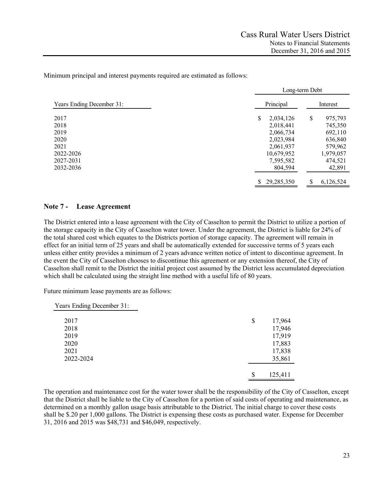Minimum principal and interest payments required are estimated as follows:

|                           |                 | Long-term Debt |  |  |
|---------------------------|-----------------|----------------|--|--|
| Years Ending December 31: | Principal       | Interest       |  |  |
| 2017                      | \$<br>2,034,126 | \$<br>975,793  |  |  |
| 2018                      | 2,018,441       | 745,350        |  |  |
| 2019                      | 2,066,734       | 692,110        |  |  |
| 2020                      | 2,023,984       | 636,840        |  |  |
| 2021                      | 2,061,937       | 579,962        |  |  |
| 2022-2026                 | 10,679,952      | 1,979,057      |  |  |
| 2027-2031                 | 7,595,582       | 474,521        |  |  |
| 2032-2036                 | 804,594         | 42,891         |  |  |
|                           | 29,285,350      | 6,126,524      |  |  |

#### **Note 7 - Lease Agreement**

The District entered into a lease agreement with the City of Casselton to permit the District to utilize a portion of the storage capacity in the City of Casselton water tower. Under the agreement, the District is liable for 24% of the total shared cost which equates to the Districts portion of storage capacity. The agreement will remain in effect for an initial term of 25 years and shall be automatically extended for successive terms of 5 years each unless either entity provides a minimum of 2 years advance written notice of intent to discontinue agreement. In the event the City of Casselton chooses to discontinue this agreement or any extension thereof, the City of Casselton shall remit to the District the initial project cost assumed by the District less accumulated depreciation which shall be calculated using the straight line method with a useful life of 80 years.

Future minimum lease payments are as follows:

| Years Ending December 31: |               |
|---------------------------|---------------|
| 2017                      | \$<br>17,964  |
| 2018                      | 17,946        |
| 2019                      | 17,919        |
| 2020                      | 17,883        |
| 2021                      | 17,838        |
| 2022-2024                 | 35,861        |
|                           | \$<br>125,411 |

The operation and maintenance cost for the water tower shall be the responsibility of the City of Casselton, except that the District shall be liable to the City of Casselton for a portion of said costs of operating and maintenance, as determined on a monthly gallon usage basis attributable to the District. The initial charge to cover these costs shall be \$.20 per 1,000 gallons. The District is expensing these costs as purchased water. Expense for December 31, 2016 and 2015 was \$48,731 and \$46,049, respectively.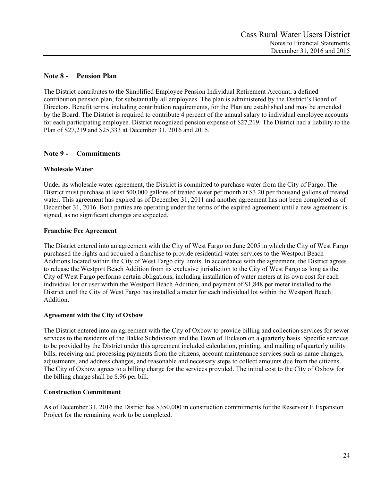## **Note 8 - Pension Plan**

The District contributes to the Simplified Employee Pension Individual Retirement Account, a defined contribution pension plan, for substantially all employees. The plan is administered by the District's Board of Directors. Benefit terms, including contribution requirements, for the Plan are established and may be amended by the Board. The District is required to contribute 4 percent of the annual salary to individual employee accounts for each participating employee. District recognized pension expense of \$27,219. The District had a liability to the Plan of \$27,219 and \$25,333 at December 31, 2016 and 2015.

# **Note 9 - Commitments**

## **Wholesale Water**

Under its wholesale water agreement, the District is committed to purchase water from the City of Fargo. The District must purchase at least 500,000 gallons of treated water per month at \$3.20 per thousand gallons of treated water. This agreement has expired as of December 31, 2011 and another agreement has not been completed as of December 31, 2016. Both parties are operating under the terms of the expired agreement until a new agreement is signed, as no significant changes are expected.

## **Franchise Fee Agreement**

The District entered into an agreement with the City of West Fargo on June 2005 in which the City of West Fargo purchased the rights and acquired a franchise to provide residential water services to the Westport Beach Additions located within the City of West Fargo city limits. In accordance with the agreement, the District agrees to release the Westport Beach Addition from its exclusive jurisdiction to the City of West Fargo as long as the City of West Fargo performs certain obligations, including installation of water meters at its own cost for each individual lot or user within the Westport Beach Addition, and payment of \$1,848 per meter installed to the District until the City of West Fargo has installed a meter for each individual lot within the Westport Beach Addition.

#### **Agreement with the City of Oxbow**

The District entered into an agreement with the City of Oxbow to provide billing and collection services for sewer services to the residents of the Bakke Subdivision and the Town of Hickson on a quarterly basis. Specific services to be provided by the District under this agreement included calculation, printing, and mailing of quarterly utility bills, receiving and processing payments from the citizens, account maintenance services such as name changes, adjustments, and address changes, and reasonable and necessary steps to collect amounts due from the citizens. The City of Oxbow agrees to a billing charge for the services provided. The initial cost to the City of Oxbow for the billing charge shall be \$.96 per bill.

#### **Construction Commitment**

As of December 31, 2016 the District has \$350,000 in construction commitments for the Reservoir E Expansion Project for the remaining work to be completed.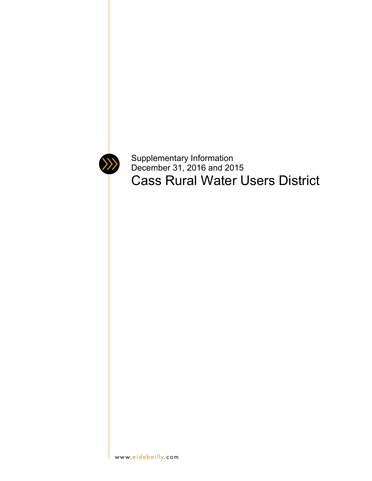

Supplementary Information December 31, 2016 and 2015 Cass Rural Water Users District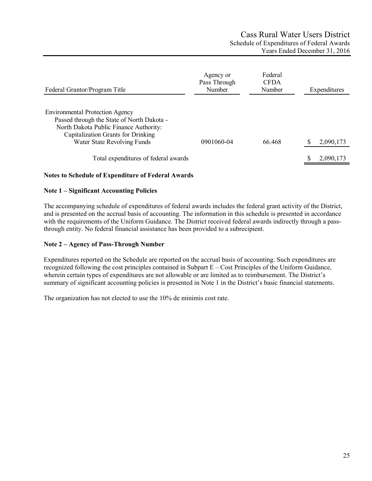| Federal Grantor/Program Title                                                                                                                                                                       | Agency or<br>Pass Through<br>Number | Federal<br><b>CFDA</b><br>Number | Expenditures |
|-----------------------------------------------------------------------------------------------------------------------------------------------------------------------------------------------------|-------------------------------------|----------------------------------|--------------|
| <b>Environmental Protection Agency</b><br>Passed through the State of North Dakota -<br>North Dakota Public Finance Authority:<br>Capitalization Grants for Drinking<br>Water State Revolving Funds | 0901060-04                          | 66.468                           | 2,090,173    |
| Total expenditures of federal awards                                                                                                                                                                |                                     |                                  | 2,090,173    |

## **Notes to Schedule of Expenditure of Federal Awards**

#### **Note 1 – Significant Accounting Policies**

The accompanying schedule of expenditures of federal awards includes the federal grant activity of the District, and is presented on the accrual basis of accounting. The information in this schedule is presented in accordance with the requirements of the Uniform Guidance. The District received federal awards indirectly through a passthrough entity. No federal financial assistance has been provided to a subrecipient.

#### **Note 2 – Agency of Pass-Through Number**

Expenditures reported on the Schedule are reported on the accrual basis of accounting. Such expenditures are recognized following the cost principles contained in Subpart E – Cost Principles of the Uniform Guidance, wherein certain types of expenditures are not allowable or are limited as to reimbursement. The District's summary of significant accounting policies is presented in Note 1 in the District's basic financial statements.

The organization has not elected to use the 10% de minimis cost rate.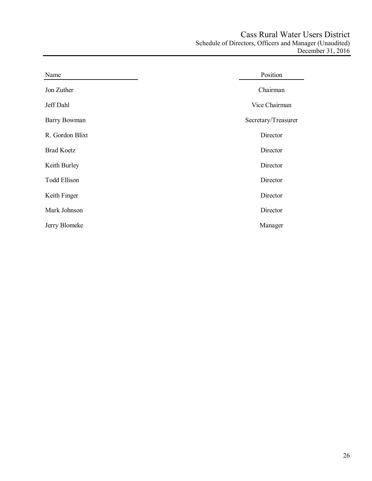| Name                | Position            |
|---------------------|---------------------|
| Jon Zuther          | Chairman            |
| Jeff Dahl           | Vice Chairman       |
| <b>Barry Bowman</b> | Secretary/Treasurer |
| R. Gordon Blixt     | Director            |
| <b>Brad Koetz</b>   | Director            |
| Keith Burley        | Director            |
| <b>Todd Ellison</b> | Director            |
| Keith Finger        | Director            |
| Mark Johnson        | Director            |
| Jerry Blomeke       | Manager             |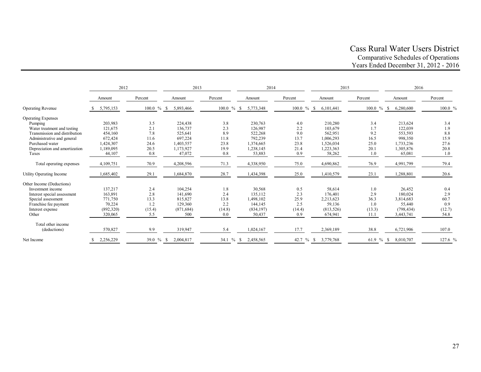## Cass Rural Water Users District Comparative Schedules of Operations Years Ended December 31, 2012 - 2016

|                               | 2012      |               | 2013             |               | 2014       |                       | 2015            |               | 2016       |         |
|-------------------------------|-----------|---------------|------------------|---------------|------------|-----------------------|-----------------|---------------|------------|---------|
|                               | Amount    | Percent       | Amount           | Percent       | Amount     | Percent               | Amount          | Percent       | Amount     | Percent |
| <b>Operating Revenue</b>      | 5,795,153 | $100.0 \%$ \$ | 5,893,466        | $100.0 \%$ \$ | 5,773,348  | $100.0 \%$ \$         | 6,101,441       | $100.0 \%$ \$ | 6,280,600  | 100.0 % |
| <b>Operating Expenses</b>     |           |               |                  |               |            |                       |                 |               |            |         |
| Pumping                       | 203,983   | 3.5           | 224,438          | 3.8           | 230,763    | 4.0                   | 210,280         | 3.4           | 213,624    | 3.4     |
| Water treatment and testing   | 121,675   | 2.1           | 136,737          | 2.3           | 126,987    | 2.2                   | 103,679         | 1.7           | 122,039    | 1.9     |
| Transmission and distribution | 454,160   | 7.8           | 525,641          | 8.9           | 522,268    | 9.0                   | 562,951         | 9.2           | 553,593    | 8.8     |
| Administrative and general    | 672,424   | 11.6          | 697.224          | 11.8          | 792,239    | 13.7                  | 1,006,293       | 16.5          | 998,350    | 15.9    |
| Purchased water               | 1,424,307 | 24.6          | 1,403,557        | 23.8          | 1,374,665  | 23.8                  | 1,526,034       | 25.0          | 1,733,236  | 27.6    |
| Depreciation and amortization | 1,189,095 | 20.5          | 1,173,927        | 19.9          | 1,238,145  | 21.4                  | 1,223,363       | 20.1          | 1,305,876  | 20.8    |
| Taxes                         | 44,107    | 0.8           | 47,072           | 0.8           | 53,883     | 0.9                   | 58,262          | 1.0           | 65,081     | 1.0     |
| Total operating expenses      | 4,109,751 | 70.9          | 4,208,596        | 71.3          | 4,338,950  | 75.0                  | 4,690,862       | 76.9          | 4,991,799  | 79.4    |
| Utility Operating Income      | 1,685,402 | 29.1          | 1,684,870        | 28.7          | 1,434,398  | 25.0                  | 1,410,579       | 23.1          | 1,288,801  | 20.6    |
| Other Income (Deductions)     |           |               |                  |               |            |                       |                 |               |            |         |
| Investment income             | 137,217   | 2.4           | 104,254          | 1.8           | 30,568     | 0.5                   | 58,614          | 1.0           | 26,452     | 0.4     |
| Interest special assessment   | 163,891   | 2.8           | 141,690          | 2.4           | 135,112    | 2.3                   | 176,401         | 2.9           | 180,024    | 2.9     |
| Special assessment            | 771,750   | 13.3          | 815,827          | 13.8          | 1,498,102  | 25.9                  | 2,213,623       | 36.3          | 3,814,683  | 60.7    |
| Franchise fee payment         | 70,224    | 1.2           | 129,360          | 2.2           | 144,145    | 2.5                   | 59,136          | 1.0           | 55,440     | 0.9     |
| Interest expense              | (892,320) | (15.4)        | (871, 684)       | (14.8)        | (834, 197) | (14.4)                | (813, 526)      | (13.3)        | (798, 434) | (12.7)  |
| Other                         | 320,065   | 5.5           | 500              | 0.0           | 50,437     | 0.9                   | 674,941         | 11.1          | 3,443,741  | 54.8    |
| Total other income            |           |               |                  |               |            |                       |                 |               |            |         |
| (deductions)                  | 570,827   | 9.9           | 319,947          | 5.4           | 1,024,167  | 17.7                  | 2,369,189       | 38.8          | 6,721,906  | 107.0   |
| Net Income                    | 2,256,229 | 39.0 $%$      | 2,004,817<br>- S | 34.1 $%$ \$   | 2,458,565  | 42.7<br>$\frac{0}{0}$ | 3,779,768<br>-S | 61.9 $%$ \$   | 8,010,707  | 127.6 % |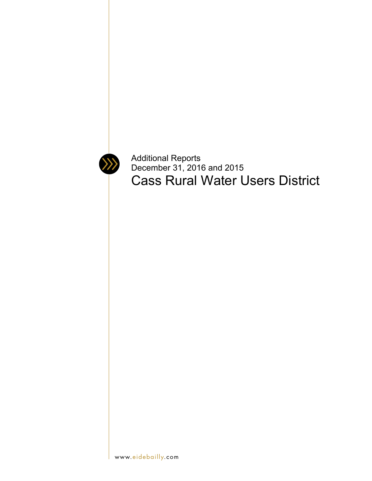

Additional Reports December 31, 2016 and 2015 Cass Rural Water Users District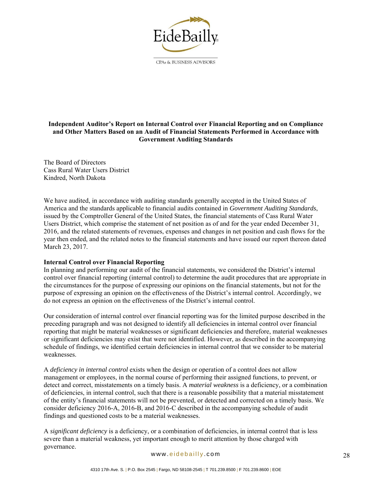

CPAs & BUSINESS ADVISORS

## **Independent Auditor's Report on Internal Control over Financial Reporting and on Compliance and Other Matters Based on an Audit of Financial Statements Performed in Accordance with Government Auditing Standards**

The Board of Directors Cass Rural Water Users District Kindred, North Dakota

We have audited, in accordance with auditing standards generally accepted in the United States of America and the standards applicable to financial audits contained in *Government Auditing Standards*, issued by the Comptroller General of the United States, the financial statements of Cass Rural Water Users District, which comprise the statement of net position as of and for the year ended December 31, 2016, and the related statements of revenues, expenses and changes in net position and cash flows for the year then ended, and the related notes to the financial statements and have issued our report thereon dated March 23, 2017.

#### **Internal Control over Financial Reporting**

In planning and performing our audit of the financial statements, we considered the District's internal control over financial reporting (internal control) to determine the audit procedures that are appropriate in the circumstances for the purpose of expressing our opinions on the financial statements, but not for the purpose of expressing an opinion on the effectiveness of the District's internal control. Accordingly, we do not express an opinion on the effectiveness of the District's internal control.

Our consideration of internal control over financial reporting was for the limited purpose described in the preceding paragraph and was not designed to identify all deficiencies in internal control over financial reporting that might be material weaknesses or significant deficiencies and therefore, material weaknesses or significant deficiencies may exist that were not identified. However, as described in the accompanying schedule of findings, we identified certain deficiencies in internal control that we consider to be material weaknesses.

A *deficiency in internal control* exists when the design or operation of a control does not allow management or employees, in the normal course of performing their assigned functions, to prevent, or detect and correct, misstatements on a timely basis. A *material weakness* is a deficiency, or a combination of deficiencies, in internal control, such that there is a reasonable possibility that a material misstatement of the entity's financial statements will not be prevented, or detected and corrected on a timely basis. We consider deficiency 2016-A, 2016-B, and 2016-C described in the accompanying schedule of audit findings and questioned costs to be a material weaknesses.

A *significant deficiency* is a deficiency, or a combination of deficiencies, in internal control that is less severe than a material weakness, yet important enough to merit attention by those charged with governance.

#### www. eidebailly .com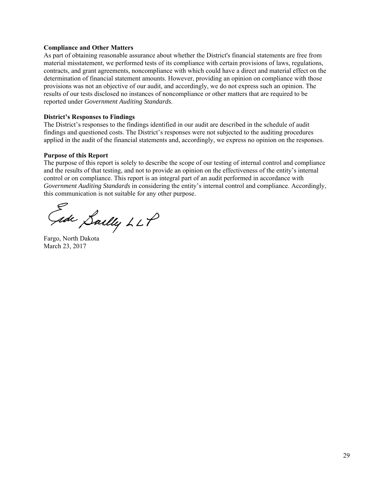#### **Compliance and Other Matters**

As part of obtaining reasonable assurance about whether the District's financial statements are free from material misstatement, we performed tests of its compliance with certain provisions of laws, regulations, contracts, and grant agreements, noncompliance with which could have a direct and material effect on the determination of financial statement amounts. However, providing an opinion on compliance with those provisions was not an objective of our audit, and accordingly, we do not express such an opinion. The results of our tests disclosed no instances of noncompliance or other matters that are required to be reported under *Government Auditing Standards*.

#### **District's Responses to Findings**

The District's responses to the findings identified in our audit are described in the schedule of audit findings and questioned costs. The District's responses were not subjected to the auditing procedures applied in the audit of the financial statements and, accordingly, we express no opinion on the responses.

#### **Purpose of this Report**

The purpose of this report is solely to describe the scope of our testing of internal control and compliance and the results of that testing, and not to provide an opinion on the effectiveness of the entity's internal control or on compliance. This report is an integral part of an audit performed in accordance with *Government Auditing Standards* in considering the entity's internal control and compliance. Accordingly, this communication is not suitable for any other purpose.

Gade Sailly LLP

Fargo, North Dakota March 23, 2017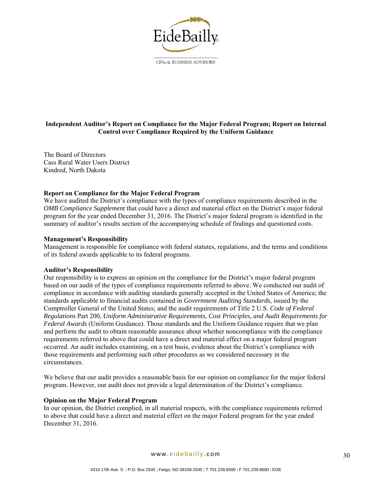

CPAs & BUSINESS ADVISORS

# **Independent Auditor's Report on Compliance for the Major Federal Program; Report on Internal Control over Compliance Required by the Uniform Guidance**

The Board of Directors Cass Rural Water Users District Kindred, North Dakota

#### **Report on Compliance for the Major Federal Program**

We have audited the District's compliance with the types of compliance requirements described in the *OMB Compliance Supplement* that could have a direct and material effect on the District's major federal program for the year ended December 31, 2016. The District's major federal program is identified in the summary of auditor's results section of the accompanying schedule of findings and questioned costs.

#### **Management's Responsibility**

Management is responsible for compliance with federal statutes, regulations, and the terms and conditions of its federal awards applicable to its federal programs.

#### **Auditor's Responsibility**

Our responsibility is to express an opinion on the compliance for the District's major federal program based on our audit of the types of compliance requirements referred to above. We conducted our audit of compliance in accordance with auditing standards generally accepted in the United States of America; the standards applicable to financial audits contained in *Government Auditing Standards*, issued by the Comptroller General of the United States; and the audit requirements of Title 2 U.S. *Code of Federal Regulations* Part 200, *Uniform Administrative Requirements, Cost Principles, and Audit Requirements for Federal Awards* (Uniform Guidance). Those standards and the Uniform Guidance require that we plan and perform the audit to obtain reasonable assurance about whether noncompliance with the compliance requirements referred to above that could have a direct and material effect on a major federal program occurred. An audit includes examining, on a test basis, evidence about the District's compliance with those requirements and performing such other procedures as we considered necessary in the circumstances.

We believe that our audit provides a reasonable basis for our opinion on compliance for the major federal program. However, our audit does not provide a legal determination of the District's compliance.

#### **Opinion on the Major Federal Program**

In our opinion, the District complied, in all material respects, with the compliance requirements referred to above that could have a direct and material effect on the major Federal program for the year ended December 31, 2016.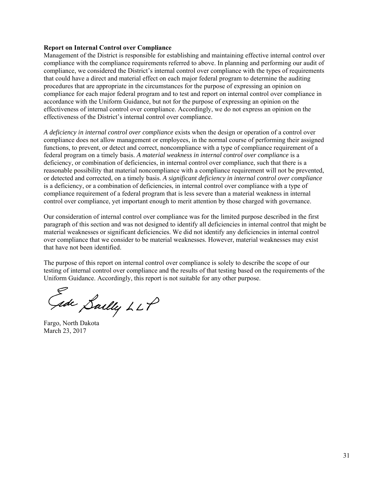#### **Report on Internal Control over Compliance**

Management of the District is responsible for establishing and maintaining effective internal control over compliance with the compliance requirements referred to above. In planning and performing our audit of compliance, we considered the District's internal control over compliance with the types of requirements that could have a direct and material effect on each major federal program to determine the auditing procedures that are appropriate in the circumstances for the purpose of expressing an opinion on compliance for each major federal program and to test and report on internal control over compliance in accordance with the Uniform Guidance, but not for the purpose of expressing an opinion on the effectiveness of internal control over compliance. Accordingly, we do not express an opinion on the effectiveness of the District's internal control over compliance.

*A deficiency in internal control over compliance* exists when the design or operation of a control over compliance does not allow management or employees, in the normal course of performing their assigned functions, to prevent, or detect and correct, noncompliance with a type of compliance requirement of a federal program on a timely basis. *A material weakness in internal control over compliance* is a deficiency, or combination of deficiencies, in internal control over compliance, such that there is a reasonable possibility that material noncompliance with a compliance requirement will not be prevented, or detected and corrected, on a timely basis. *A significant deficiency in internal control over compliance* is a deficiency, or a combination of deficiencies, in internal control over compliance with a type of compliance requirement of a federal program that is less severe than a material weakness in internal control over compliance, yet important enough to merit attention by those charged with governance.

Our consideration of internal control over compliance was for the limited purpose described in the first paragraph of this section and was not designed to identify all deficiencies in internal control that might be material weaknesses or significant deficiencies. We did not identify any deficiencies in internal control over compliance that we consider to be material weaknesses. However, material weaknesses may exist that have not been identified.

The purpose of this report on internal control over compliance is solely to describe the scope of our testing of internal control over compliance and the results of that testing based on the requirements of the Uniform Guidance. Accordingly, this report is not suitable for any other purpose.

Gide Sailly LLP

Fargo, North Dakota March 23, 2017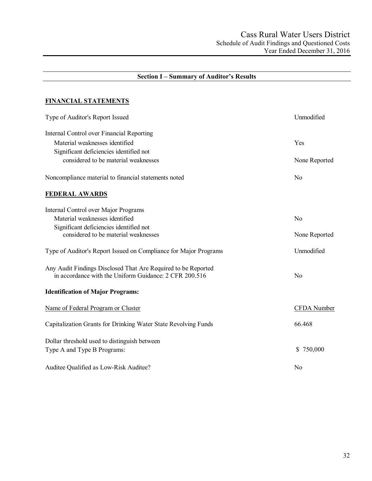# **Section I – Summary of Auditor's Results**

# **FINANCIAL STATEMENTS**

| Type of Auditor's Report Issued                                                                                         | Unmodified     |
|-------------------------------------------------------------------------------------------------------------------------|----------------|
| Internal Control over Financial Reporting                                                                               |                |
| Material weaknesses identified                                                                                          | Yes            |
| Significant deficiencies identified not                                                                                 |                |
| considered to be material weaknesses                                                                                    | None Reported  |
| Noncompliance material to financial statements noted                                                                    | No             |
| <b>FEDERAL AWARDS</b>                                                                                                   |                |
| Internal Control over Major Programs                                                                                    |                |
| Material weaknesses identified                                                                                          | N <sub>o</sub> |
| Significant deficiencies identified not                                                                                 |                |
| considered to be material weaknesses                                                                                    | None Reported  |
| Type of Auditor's Report Issued on Compliance for Major Programs                                                        | Unmodified     |
|                                                                                                                         |                |
| Any Audit Findings Disclosed That Are Required to be Reported<br>in accordance with the Uniform Guidance: 2 CFR 200.516 | N <sub>o</sub> |
| <b>Identification of Major Programs:</b>                                                                                |                |
| Name of Federal Program or Cluster                                                                                      | CFDA Number    |
| Capitalization Grants for Drinking Water State Revolving Funds                                                          | 66.468         |
|                                                                                                                         |                |
| Dollar threshold used to distinguish between                                                                            |                |
| Type A and Type B Programs:                                                                                             | \$750,000      |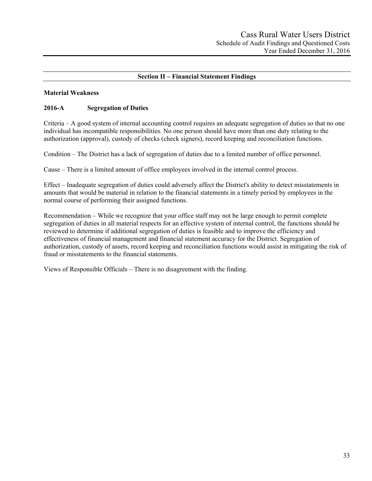## **Section II – Financial Statement Findings**

#### **Material Weakness**

#### **2016-A Segregation of Duties**

Criteria – A good system of internal accounting control requires an adequate segregation of duties so that no one individual has incompatible responsibilities. No one person should have more than one duty relating to the authorization (approval), custody of checks (check signers), record keeping and reconciliation functions.

Condition – The District has a lack of segregation of duties due to a limited number of office personnel.

Cause – There is a limited amount of office employees involved in the internal control process.

Effect – Inadequate segregation of duties could adversely affect the District's ability to detect misstatements in amounts that would be material in relation to the financial statements in a timely period by employees in the normal course of performing their assigned functions.

Recommendation – While we recognize that your office staff may not be large enough to permit complete segregation of duties in all material respects for an effective system of internal control, the functions should be reviewed to determine if additional segregation of duties is feasible and to improve the efficiency and effectiveness of financial management and financial statement accuracy for the District. Segregation of authorization, custody of assets, record keeping and reconciliation functions would assist in mitigating the risk of fraud or misstatements to the financial statements.

Views of Responsible Officials – There is no disagreement with the finding.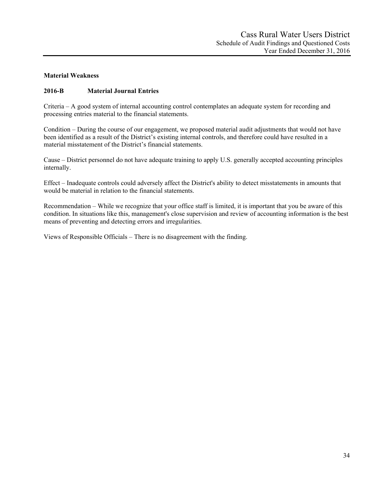## **Material Weakness**

## **2016-B Material Journal Entries**

Criteria – A good system of internal accounting control contemplates an adequate system for recording and processing entries material to the financial statements.

Condition – During the course of our engagement, we proposed material audit adjustments that would not have been identified as a result of the District's existing internal controls, and therefore could have resulted in a material misstatement of the District's financial statements.

Cause – District personnel do not have adequate training to apply U.S. generally accepted accounting principles internally.

Effect – Inadequate controls could adversely affect the District's ability to detect misstatements in amounts that would be material in relation to the financial statements.

Recommendation – While we recognize that your office staff is limited, it is important that you be aware of this condition. In situations like this, management's close supervision and review of accounting information is the best means of preventing and detecting errors and irregularities.

Views of Responsible Officials – There is no disagreement with the finding.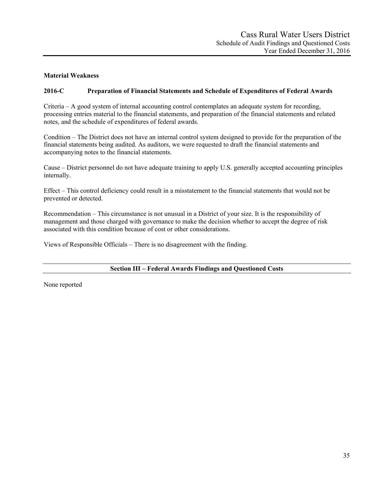## **Material Weakness**

## **2016-C Preparation of Financial Statements and Schedule of Expenditures of Federal Awards**

Criteria – A good system of internal accounting control contemplates an adequate system for recording, processing entries material to the financial statements, and preparation of the financial statements and related notes, and the schedule of expenditures of federal awards.

Condition – The District does not have an internal control system designed to provide for the preparation of the financial statements being audited. As auditors, we were requested to draft the financial statements and accompanying notes to the financial statements.

Cause – District personnel do not have adequate training to apply U.S. generally accepted accounting principles internally.

Effect – This control deficiency could result in a misstatement to the financial statements that would not be prevented or detected.

Recommendation – This circumstance is not unusual in a District of your size. It is the responsibility of management and those charged with governance to make the decision whether to accept the degree of risk associated with this condition because of cost or other considerations.

Views of Responsible Officials – There is no disagreement with the finding.

#### **Section III – Federal Awards Findings and Questioned Costs**

None reported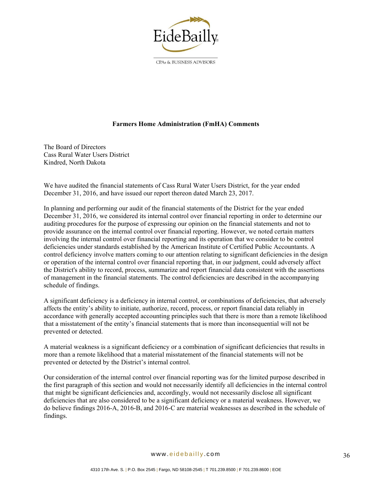

CPAs & BUSINESS ADVISORS

## **Farmers Home Administration (FmHA) Comments**

The Board of Directors Cass Rural Water Users District Kindred, North Dakota

We have audited the financial statements of Cass Rural Water Users District, for the year ended December 31, 2016, and have issued our report thereon dated March 23, 2017.

In planning and performing our audit of the financial statements of the District for the year ended December 31, 2016, we considered its internal control over financial reporting in order to determine our auditing procedures for the purpose of expressing our opinion on the financial statements and not to provide assurance on the internal control over financial reporting. However, we noted certain matters involving the internal control over financial reporting and its operation that we consider to be control deficiencies under standards established by the American Institute of Certified Public Accountants. A control deficiency involve matters coming to our attention relating to significant deficiencies in the design or operation of the internal control over financial reporting that, in our judgment, could adversely affect the District's ability to record, process, summarize and report financial data consistent with the assertions of management in the financial statements. The control deficiencies are described in the accompanying schedule of findings.

A significant deficiency is a deficiency in internal control, or combinations of deficiencies, that adversely affects the entity's ability to initiate, authorize, record, process, or report financial data reliably in accordance with generally accepted accounting principles such that there is more than a remote likelihood that a misstatement of the entity's financial statements that is more than inconsequential will not be prevented or detected.

A material weakness is a significant deficiency or a combination of significant deficiencies that results in more than a remote likelihood that a material misstatement of the financial statements will not be prevented or detected by the District's internal control.

Our consideration of the internal control over financial reporting was for the limited purpose described in the first paragraph of this section and would not necessarily identify all deficiencies in the internal control that might be significant deficiencies and, accordingly, would not necessarily disclose all significant deficiencies that are also considered to be a significant deficiency or a material weakness. However, we do believe findings 2016-A, 2016-B, and 2016-C are material weaknesses as described in the schedule of findings.